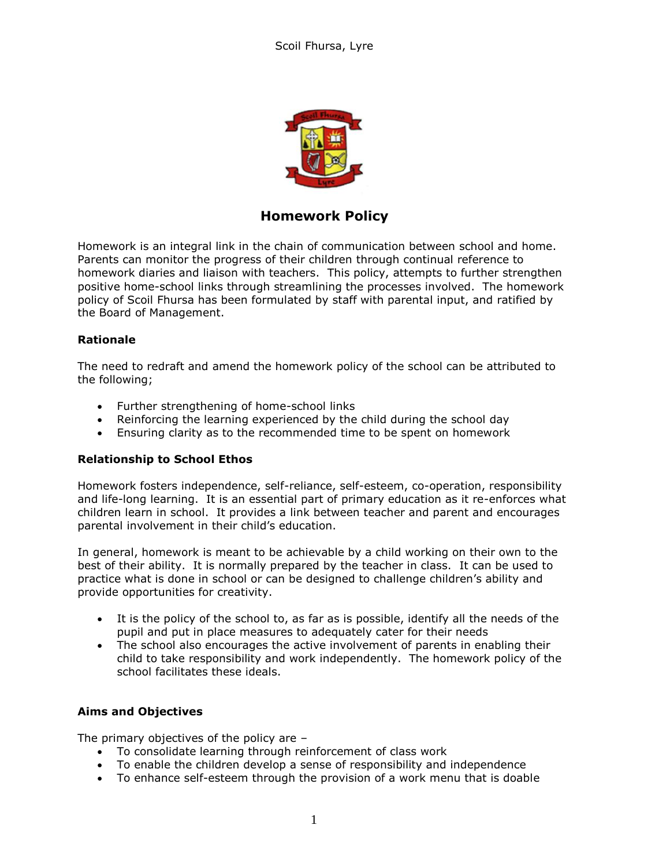

# **Homework Policy**

Homework is an integral link in the chain of communication between school and home. Parents can monitor the progress of their children through continual reference to homework diaries and liaison with teachers. This policy, attempts to further strengthen positive home-school links through streamlining the processes involved. The homework policy of Scoil Fhursa has been formulated by staff with parental input, and ratified by the Board of Management.

#### **Rationale**

The need to redraft and amend the homework policy of the school can be attributed to the following;

- Further strengthening of home-school links
- Reinforcing the learning experienced by the child during the school day
- Ensuring clarity as to the recommended time to be spent on homework

# **Relationship to School Ethos**

Homework fosters independence, self-reliance, self-esteem, co-operation, responsibility and life-long learning. It is an essential part of primary education as it re-enforces what children learn in school. It provides a link between teacher and parent and encourages parental involvement in their child's education.

In general, homework is meant to be achievable by a child working on their own to the best of their ability. It is normally prepared by the teacher in class. It can be used to practice what is done in school or can be designed to challenge children's ability and provide opportunities for creativity.

- It is the policy of the school to, as far as is possible, identify all the needs of the pupil and put in place measures to adequately cater for their needs
- The school also encourages the active involvement of parents in enabling their child to take responsibility and work independently. The homework policy of the school facilitates these ideals.

# **Aims and Objectives**

The primary objectives of the policy are –

- To consolidate learning through reinforcement of class work
- To enable the children develop a sense of responsibility and independence
- To enhance self-esteem through the provision of a work menu that is doable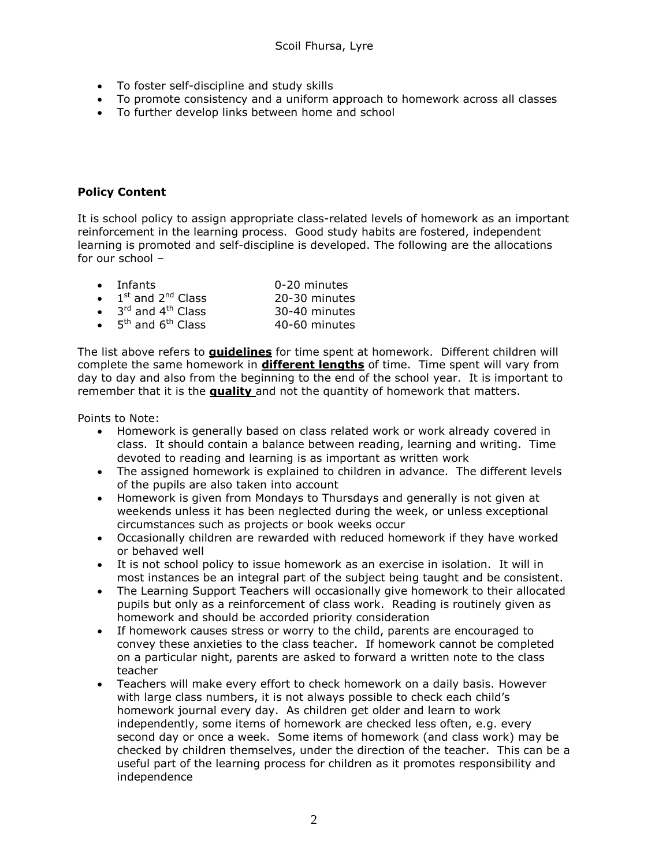- To foster self-discipline and study skills
- To promote consistency and a uniform approach to homework across all classes
- To further develop links between home and school

#### **Policy Content**

It is school policy to assign appropriate class-related levels of homework as an important reinforcement in the learning process. Good study habits are fostered, independent learning is promoted and self-discipline is developed. The following are the allocations for our school –

|           | $\bullet$ Infants                         | 0-20 minutes  |
|-----------|-------------------------------------------|---------------|
| $\bullet$ | $1st$ and $2nd$ Class                     | 20-30 minutes |
| $\bullet$ | 3 <sup>rd</sup> and 4 <sup>th</sup> Class | 30-40 minutes |
| $\bullet$ | 5 <sup>th</sup> and 6 <sup>th</sup> Class | 40-60 minutes |

The list above refers to **guidelines** for time spent at homework. Different children will complete the same homework in **different lengths** of time. Time spent will vary from day to day and also from the beginning to the end of the school year. It is important to remember that it is the **quality** and not the quantity of homework that matters.

Points to Note:

- Homework is generally based on class related work or work already covered in class. It should contain a balance between reading, learning and writing. Time devoted to reading and learning is as important as written work
- The assigned homework is explained to children in advance. The different levels of the pupils are also taken into account
- Homework is given from Mondays to Thursdays and generally is not given at weekends unless it has been neglected during the week, or unless exceptional circumstances such as projects or book weeks occur
- Occasionally children are rewarded with reduced homework if they have worked or behaved well
- It is not school policy to issue homework as an exercise in isolation. It will in most instances be an integral part of the subject being taught and be consistent.
- The Learning Support Teachers will occasionally give homework to their allocated pupils but only as a reinforcement of class work. Reading is routinely given as homework and should be accorded priority consideration
- If homework causes stress or worry to the child, parents are encouraged to convey these anxieties to the class teacher. If homework cannot be completed on a particular night, parents are asked to forward a written note to the class teacher
- Teachers will make every effort to check homework on a daily basis. However with large class numbers, it is not always possible to check each child's homework journal every day. As children get older and learn to work independently, some items of homework are checked less often, e.g. every second day or once a week. Some items of homework (and class work) may be checked by children themselves, under the direction of the teacher. This can be a useful part of the learning process for children as it promotes responsibility and independence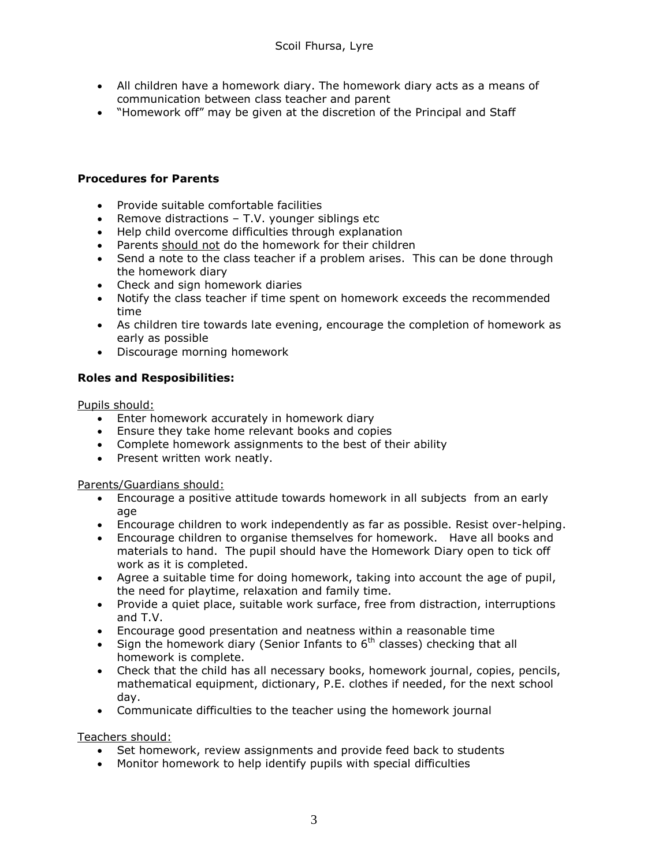- All children have a homework diary. The homework diary acts as a means of communication between class teacher and parent
- "Homework off" may be given at the discretion of the Principal and Staff

#### **Procedures for Parents**

- Provide suitable comfortable facilities
- **•** Remove distractions  $-$  T.V. younger siblings etc
- Help child overcome difficulties through explanation
- Parents should not do the homework for their children
- Send a note to the class teacher if a problem arises. This can be done through the homework diary
- Check and sign homework diaries
- Notify the class teacher if time spent on homework exceeds the recommended time
- As children tire towards late evening, encourage the completion of homework as early as possible
- Discourage morning homework

#### **Roles and Resposibilities:**

Pupils should:

- Enter homework accurately in homework diary
- Ensure they take home relevant books and copies
- Complete homework assignments to the best of their ability
- Present written work neatly.

Parents/Guardians should:

- Encourage a positive attitude towards homework in all subjects from an early age
- Encourage children to work independently as far as possible. Resist over-helping.
- Encourage children to organise themselves for homework. Have all books and materials to hand. The pupil should have the Homework Diary open to tick off work as it is completed.
- Agree a suitable time for doing homework, taking into account the age of pupil, the need for playtime, relaxation and family time.
- Provide a quiet place, suitable work surface, free from distraction, interruptions and T.V.
- Encourage good presentation and neatness within a reasonable time
- Sign the homework diary (Senior Infants to  $6<sup>th</sup>$  classes) checking that all homework is complete.
- Check that the child has all necessary books, homework journal, copies, pencils, mathematical equipment, dictionary, P.E. clothes if needed, for the next school day.
- Communicate difficulties to the teacher using the homework journal

Teachers should:

- Set homework, review assignments and provide feed back to students
- Monitor homework to help identify pupils with special difficulties